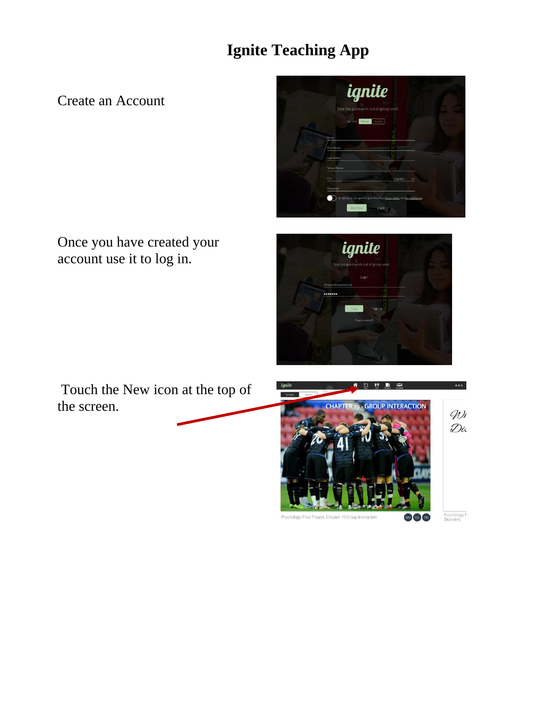## **Ignite Teaching App**

Create an Account



Once you have created your account use it to log in.



Touch the New icon at the top of the screen.



Psychology F<br>Disorders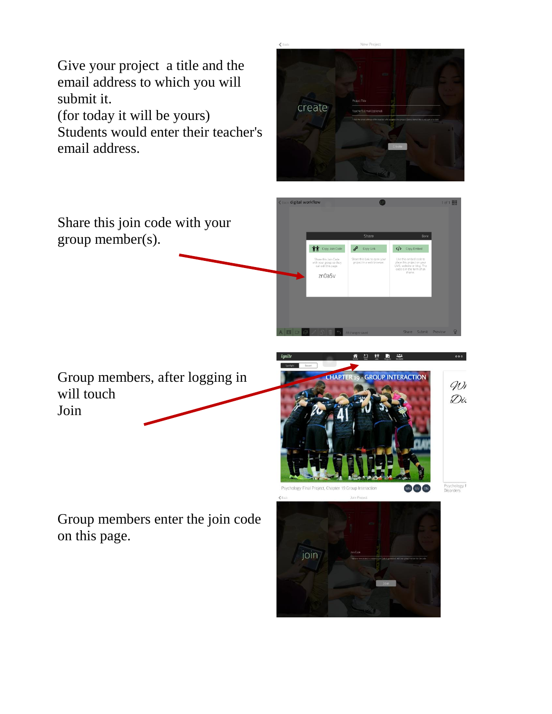Give your project a title and the email address to which you will submit it.

(for today it will be yours)

Students would enter their teacher's email address.



zn0a5v

Share this join code with your group member(s).

Group members, after logging in will touch Join

Group members enter the join code on this page.

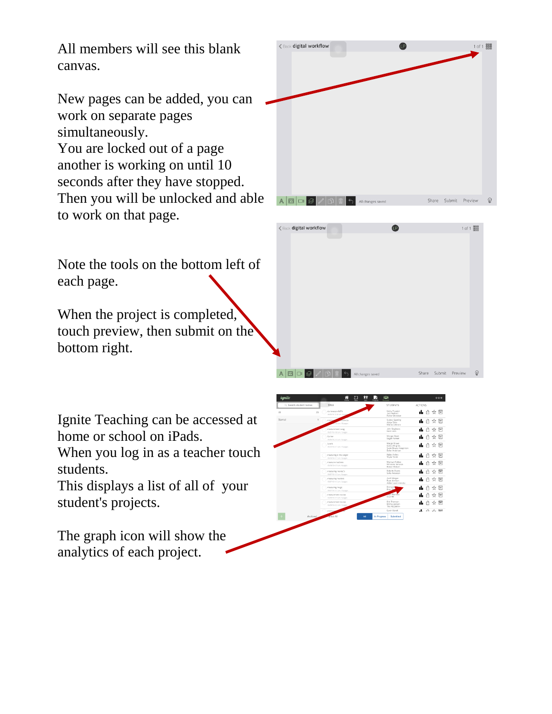All members will see this blank canvas.

New pages can be added, you can work on separate pages simultaneously. You are locked out of a page another is working on until 10 seconds after they have stopped. Then you will be unlocked and able to work on that page.

Note the tools on the bottom left of each page.

When the project is completed, touch preview, then submit on the bottom right.

Ignite Teaching can be accessed at home or school on iPads.

When you log in as a teacher touch students.

This displays a list of all of your student's projects.

The graph icon will show the analytics of each project.